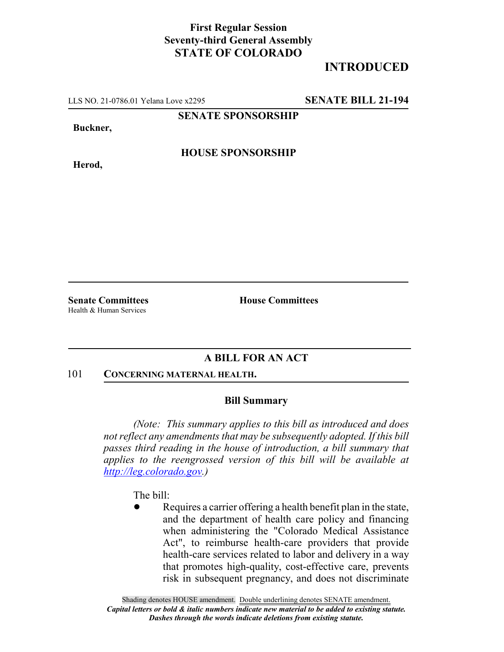## **First Regular Session Seventy-third General Assembly STATE OF COLORADO**

# **INTRODUCED**

LLS NO. 21-0786.01 Yelana Love x2295 **SENATE BILL 21-194**

**SENATE SPONSORSHIP**

**Buckner,**

**Herod,**

**HOUSE SPONSORSHIP**

Health & Human Services

**Senate Committees House Committees** 

### **A BILL FOR AN ACT**

#### 101 **CONCERNING MATERNAL HEALTH.**

### **Bill Summary**

*(Note: This summary applies to this bill as introduced and does not reflect any amendments that may be subsequently adopted. If this bill passes third reading in the house of introduction, a bill summary that applies to the reengrossed version of this bill will be available at http://leg.colorado.gov.)*

The bill:

Requires a carrier offering a health benefit plan in the state, and the department of health care policy and financing when administering the "Colorado Medical Assistance Act", to reimburse health-care providers that provide health-care services related to labor and delivery in a way that promotes high-quality, cost-effective care, prevents risk in subsequent pregnancy, and does not discriminate

Shading denotes HOUSE amendment. Double underlining denotes SENATE amendment. *Capital letters or bold & italic numbers indicate new material to be added to existing statute. Dashes through the words indicate deletions from existing statute.*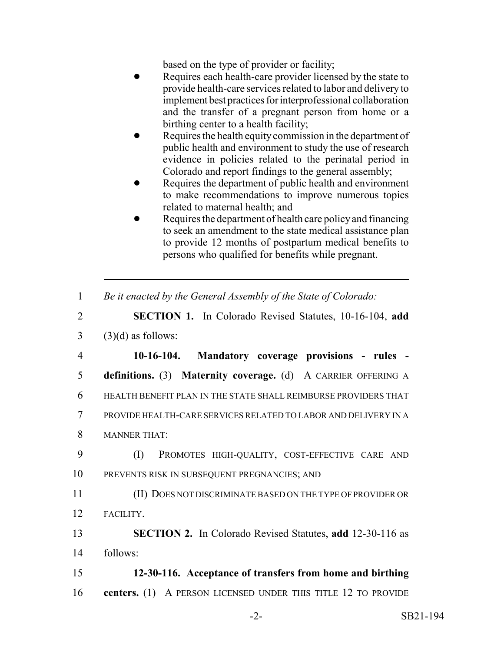based on the type of provider or facility;

- Requires each health-care provider licensed by the state to provide health-care services related to labor and delivery to implement best practices for interprofessional collaboration and the transfer of a pregnant person from home or a birthing center to a health facility;
- Requires the health equity commission in the department of public health and environment to study the use of research evidence in policies related to the perinatal period in Colorado and report findings to the general assembly;
- Requires the department of public health and environment to make recommendations to improve numerous topics related to maternal health; and
- Requires the department of health care policy and financing to seek an amendment to the state medical assistance plan to provide 12 months of postpartum medical benefits to persons who qualified for benefits while pregnant.
- 1 *Be it enacted by the General Assembly of the State of Colorado:*
- 2 **SECTION 1.** In Colorado Revised Statutes, 10-16-104, **add**  $3$  (3)(d) as follows:

 **10-16-104. Mandatory coverage provisions - rules - definitions.** (3) **Maternity coverage.** (d) A CARRIER OFFERING A HEALTH BENEFIT PLAN IN THE STATE SHALL REIMBURSE PROVIDERS THAT PROVIDE HEALTH-CARE SERVICES RELATED TO LABOR AND DELIVERY IN A MANNER THAT:

- 9 (I) PROMOTES HIGH-QUALITY, COST-EFFECTIVE CARE AND 10 PREVENTS RISK IN SUBSEQUENT PREGNANCIES; AND
- 11 (II) DOES NOT DISCRIMINATE BASED ON THE TYPE OF PROVIDER OR 12 FACILITY.
- 13 **SECTION 2.** In Colorado Revised Statutes, **add** 12-30-116 as 14 follows:

15 **12-30-116. Acceptance of transfers from home and birthing** 16 **centers.** (1) A PERSON LICENSED UNDER THIS TITLE 12 TO PROVIDE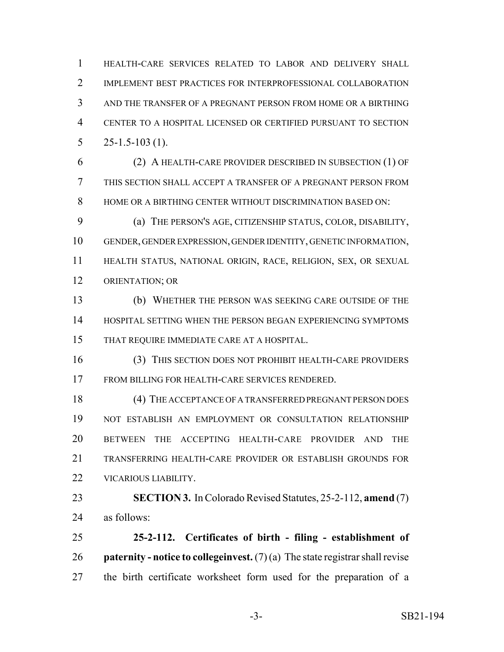HEALTH-CARE SERVICES RELATED TO LABOR AND DELIVERY SHALL IMPLEMENT BEST PRACTICES FOR INTERPROFESSIONAL COLLABORATION AND THE TRANSFER OF A PREGNANT PERSON FROM HOME OR A BIRTHING CENTER TO A HOSPITAL LICENSED OR CERTIFIED PURSUANT TO SECTION  $5 \qquad 25 - 1.5 - 103 \tag{1}.$ 

 (2) A HEALTH-CARE PROVIDER DESCRIBED IN SUBSECTION (1) OF THIS SECTION SHALL ACCEPT A TRANSFER OF A PREGNANT PERSON FROM HOME OR A BIRTHING CENTER WITHOUT DISCRIMINATION BASED ON:

 (a) THE PERSON'S AGE, CITIZENSHIP STATUS, COLOR, DISABILITY, GENDER, GENDER EXPRESSION, GENDER IDENTITY, GENETIC INFORMATION, HEALTH STATUS, NATIONAL ORIGIN, RACE, RELIGION, SEX, OR SEXUAL ORIENTATION; OR

 (b) WHETHER THE PERSON WAS SEEKING CARE OUTSIDE OF THE HOSPITAL SETTING WHEN THE PERSON BEGAN EXPERIENCING SYMPTOMS THAT REQUIRE IMMEDIATE CARE AT A HOSPITAL.

 (3) THIS SECTION DOES NOT PROHIBIT HEALTH-CARE PROVIDERS FROM BILLING FOR HEALTH-CARE SERVICES RENDERED.

 (4) THE ACCEPTANCE OF A TRANSFERRED PREGNANT PERSON DOES NOT ESTABLISH AN EMPLOYMENT OR CONSULTATION RELATIONSHIP BETWEEN THE ACCEPTING HEALTH-CARE PROVIDER AND THE TRANSFERRING HEALTH-CARE PROVIDER OR ESTABLISH GROUNDS FOR VICARIOUS LIABILITY.

 **SECTION 3.** In Colorado Revised Statutes, 25-2-112, **amend** (7) as follows:

 **25-2-112. Certificates of birth - filing - establishment of paternity - notice to collegeinvest.** (7) (a) The state registrar shall revise the birth certificate worksheet form used for the preparation of a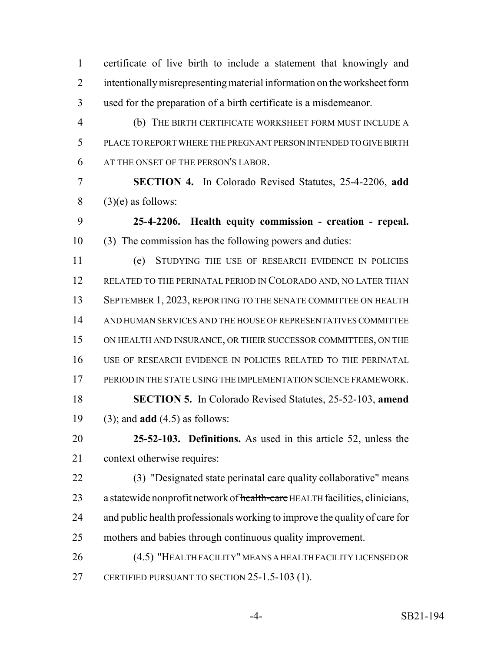certificate of live birth to include a statement that knowingly and intentionally misrepresenting material information on the worksheet form used for the preparation of a birth certificate is a misdemeanor. (b) THE BIRTH CERTIFICATE WORKSHEET FORM MUST INCLUDE A PLACE TO REPORT WHERE THE PREGNANT PERSON INTENDED TO GIVE BIRTH AT THE ONSET OF THE PERSON'S LABOR. **SECTION 4.** In Colorado Revised Statutes, 25-4-2206, **add** (3)(e) as follows: **25-4-2206. Health equity commission - creation - repeal.** (3) The commission has the following powers and duties: (e) STUDYING THE USE OF RESEARCH EVIDENCE IN POLICIES 12 RELATED TO THE PERINATAL PERIOD IN COLORADO AND, NO LATER THAN 13 SEPTEMBER 1, 2023, REPORTING TO THE SENATE COMMITTEE ON HEALTH AND HUMAN SERVICES AND THE HOUSE OF REPRESENTATIVES COMMITTEE ON HEALTH AND INSURANCE, OR THEIR SUCCESSOR COMMITTEES, ON THE USE OF RESEARCH EVIDENCE IN POLICIES RELATED TO THE PERINATAL PERIOD IN THE STATE USING THE IMPLEMENTATION SCIENCE FRAMEWORK. **SECTION 5.** In Colorado Revised Statutes, 25-52-103, **amend** (3); and **add** (4.5) as follows: **25-52-103. Definitions.** As used in this article 52, unless the context otherwise requires: (3) "Designated state perinatal care quality collaborative" means 23 a statewide nonprofit network of health-care HEALTH facilities, clinicians, and public health professionals working to improve the quality of care for mothers and babies through continuous quality improvement. (4.5) "HEALTH FACILITY" MEANS A HEALTH FACILITY LICENSED OR CERTIFIED PURSUANT TO SECTION 25-1.5-103 (1).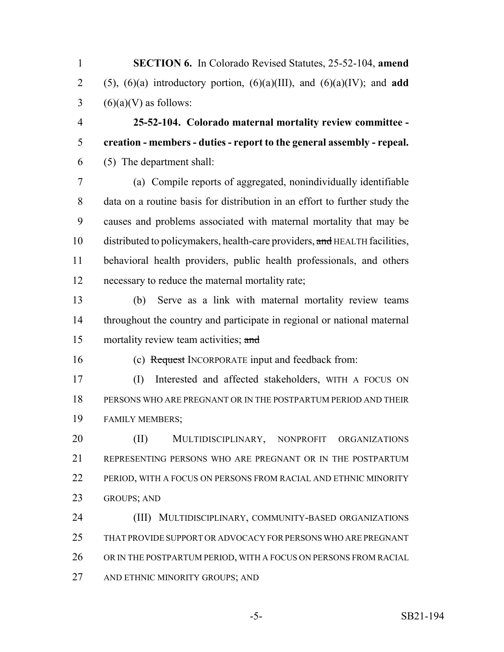**SECTION 6.** In Colorado Revised Statutes, 25-52-104, **amend** 2 (5),  $(6)(a)$  introductory portion,  $(6)(a)(III)$ , and  $(6)(a)(IV)$ ; and **add**  $3 \qquad (6)(a)(V)$  as follows:

 **25-52-104. Colorado maternal mortality review committee - creation - members - duties - report to the general assembly - repeal.** (5) The department shall:

 (a) Compile reports of aggregated, nonindividually identifiable data on a routine basis for distribution in an effort to further study the causes and problems associated with maternal mortality that may be 10 distributed to policymakers, health-care providers, and HEALTH facilities, behavioral health providers, public health professionals, and others necessary to reduce the maternal mortality rate;

 (b) Serve as a link with maternal mortality review teams throughout the country and participate in regional or national maternal 15 mortality review team activities; and

(c) Request INCORPORATE input and feedback from:

 (I) Interested and affected stakeholders, WITH A FOCUS ON PERSONS WHO ARE PREGNANT OR IN THE POSTPARTUM PERIOD AND THEIR FAMILY MEMBERS;

20 (II) MULTIDISCIPLINARY, NONPROFIT ORGANIZATIONS REPRESENTING PERSONS WHO ARE PREGNANT OR IN THE POSTPARTUM PERIOD, WITH A FOCUS ON PERSONS FROM RACIAL AND ETHNIC MINORITY GROUPS; AND

 (III) MULTIDISCIPLINARY, COMMUNITY-BASED ORGANIZATIONS THAT PROVIDE SUPPORT OR ADVOCACY FOR PERSONS WHO ARE PREGNANT 26 OR IN THE POSTPARTUM PERIOD, WITH A FOCUS ON PERSONS FROM RACIAL AND ETHNIC MINORITY GROUPS; AND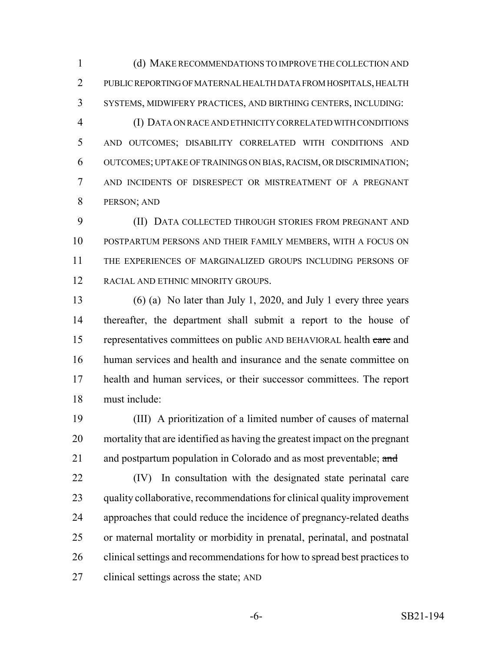(d) MAKE RECOMMENDATIONS TO IMPROVE THE COLLECTION AND PUBLIC REPORTING OF MATERNAL HEALTH DATA FROM HOSPITALS, HEALTH SYSTEMS, MIDWIFERY PRACTICES, AND BIRTHING CENTERS, INCLUDING:

 (I) DATA ON RACE AND ETHNICITY CORRELATED WITH CONDITIONS AND OUTCOMES; DISABILITY CORRELATED WITH CONDITIONS AND OUTCOMES; UPTAKE OF TRAININGS ON BIAS, RACISM, OR DISCRIMINATION; AND INCIDENTS OF DISRESPECT OR MISTREATMENT OF A PREGNANT PERSON; AND

 (II) DATA COLLECTED THROUGH STORIES FROM PREGNANT AND POSTPARTUM PERSONS AND THEIR FAMILY MEMBERS, WITH A FOCUS ON THE EXPERIENCES OF MARGINALIZED GROUPS INCLUDING PERSONS OF RACIAL AND ETHNIC MINORITY GROUPS.

 (6) (a) No later than July 1, 2020, and July 1 every three years thereafter, the department shall submit a report to the house of 15 representatives committees on public AND BEHAVIORAL health care and human services and health and insurance and the senate committee on health and human services, or their successor committees. The report must include:

 (III) A prioritization of a limited number of causes of maternal mortality that are identified as having the greatest impact on the pregnant 21 and postpartum population in Colorado and as most preventable; and

 (IV) In consultation with the designated state perinatal care quality collaborative, recommendations for clinical quality improvement approaches that could reduce the incidence of pregnancy-related deaths or maternal mortality or morbidity in prenatal, perinatal, and postnatal clinical settings and recommendations for how to spread best practices to clinical settings across the state; AND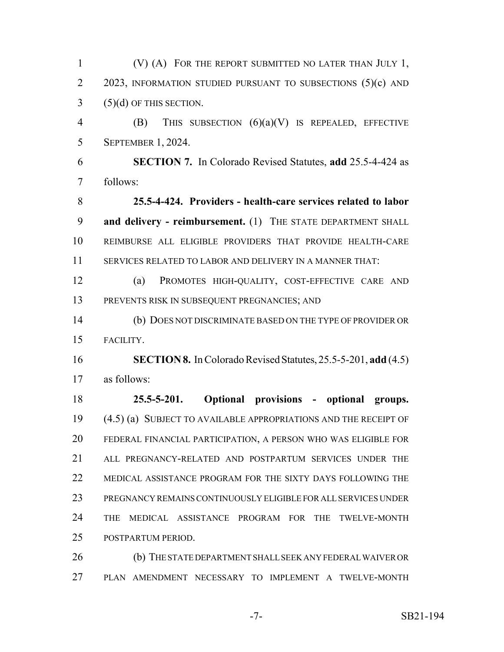(V) (A) FOR THE REPORT SUBMITTED NO LATER THAN JULY 1, 2 2023, INFORMATION STUDIED PURSUANT TO SUBSECTIONS (5)(c) AND (5)(d) OF THIS SECTION. (B) THIS SUBSECTION (6)(a)(V) IS REPEALED, EFFECTIVE SEPTEMBER 1, 2024. **SECTION 7.** In Colorado Revised Statutes, **add** 25.5-4-424 as follows: **25.5-4-424. Providers - health-care services related to labor and delivery - reimbursement.** (1) THE STATE DEPARTMENT SHALL REIMBURSE ALL ELIGIBLE PROVIDERS THAT PROVIDE HEALTH-CARE SERVICES RELATED TO LABOR AND DELIVERY IN A MANNER THAT: (a) PROMOTES HIGH-QUALITY, COST-EFFECTIVE CARE AND PREVENTS RISK IN SUBSEQUENT PREGNANCIES; AND (b) DOES NOT DISCRIMINATE BASED ON THE TYPE OF PROVIDER OR FACILITY. **SECTION 8.** In Colorado Revised Statutes, 25.5-5-201, **add** (4.5) as follows: **25.5-5-201. Optional provisions - optional groups.** (4.5) (a) SUBJECT TO AVAILABLE APPROPRIATIONS AND THE RECEIPT OF FEDERAL FINANCIAL PARTICIPATION, A PERSON WHO WAS ELIGIBLE FOR ALL PREGNANCY-RELATED AND POSTPARTUM SERVICES UNDER THE MEDICAL ASSISTANCE PROGRAM FOR THE SIXTY DAYS FOLLOWING THE PREGNANCY REMAINS CONTINUOUSLY ELIGIBLE FOR ALL SERVICES UNDER THE MEDICAL ASSISTANCE PROGRAM FOR THE TWELVE-MONTH POSTPARTUM PERIOD. (b) THE STATE DEPARTMENT SHALL SEEK ANY FEDERAL WAIVER OR PLAN AMENDMENT NECESSARY TO IMPLEMENT A TWELVE-MONTH